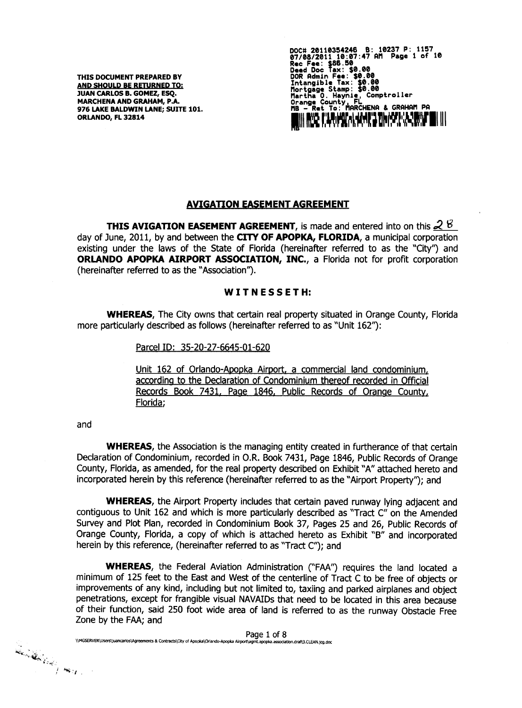THIS DOCUMENT PREPARED BY AND SHOULD BE RETURNED TO: JUAN CARLOS B. GOMEZ, ESQ. **MARCHENA AND GRAHAM, P.A.** 976 LAKE BALDWIN LANE: SUITE 101. ORLANDO, FL 32814

DOC# 20110354246 B: 10237 P: 1157<br>07/08/2011 10:07:47 AM Page 1 of :<br>Rec Fee: \$86.50<br>Deed Doc Tax: \$0.00<br>DOR Admin Fee: \$0.00<br>Intangible Tax: \$0.00<br>Mortgage Stamp: \$0.00<br>Mortgage Stamp: \$0.00 Page 1 of 10 Comptroller Martha O. Haynie, Comptroller<br>Orange County, FL<br>MB - Ret To: MARCHENA & GRAHAM PA I ROZ FILANDA I HART STILLET I LARDE

### **AVIGATION EASEMENT AGREEMENT**

**THIS AVIGATION EASEMENT AGREEMENT**, is made and entered into on this  $28$ day of June, 2011, by and between the CITY OF APOPKA, FLORIDA, a municipal corporation existing under the laws of the State of Florida (hereinafter referred to as the "City") and ORLANDO APOPKA AIRPORT ASSOCIATION, INC., a Florida not for profit corporation (hereinafter referred to as the "Association").

### WITNESSETH:

**WHEREAS,** The City owns that certain real property situated in Orange County, Florida more particularly described as follows (hereinafter referred to as "Unit 162"):

Parcel ID: 35-20-27-6645-01-620

Unit 162 of Orlando-Apopka Airport, a commercial land condominium, according to the Declaration of Condominium thereof recorded in Official Records Book 7431, Page 1846, Public Records of Orange County, Florida;

#### and

**WHEREAS**, the Association is the managing entity created in furtherance of that certain Declaration of Condominium, recorded in O.R. Book 7431, Page 1846, Public Records of Orange County, Florida, as amended, for the real property described on Exhibit "A" attached hereto and incorporated herein by this reference (hereinafter referred to as the "Airport Property"); and

WHEREAS, the Airport Property includes that certain paved runway lying adjacent and contiquous to Unit 162 and which is more particularly described as "Tract C" on the Amended Survey and Plot Plan, recorded in Condominium Book 37, Pages 25 and 26, Public Records of Orange County, Florida, a copy of which is attached hereto as Exhibit "B" and incorporated herein by this reference, (hereinafter referred to as "Tract C"); and

**WHEREAS**, the Federal Aviation Administration ("FAA") requires the land located a minimum of 125 feet to the East and West of the centerline of Tract C to be free of objects or improvements of any kind, including but not limited to, taxiing and parked airplanes and object penetrations, except for frangible visual NAVAIDs that need to be located in this area because of their function, said 250 foot wide area of land is referred to as the runway Obstacle Free Zone by the FAA; and

Page 1 of 8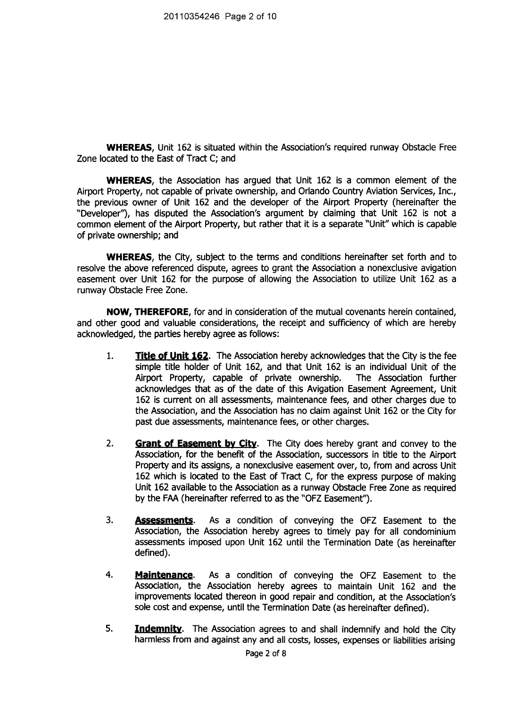**WHEREAS,** Unit 162 is situated within the Association's required runway Obstacle Free **Zone locatedto the EastofTractC; and**

**WHEREAS**, the Association has argued that Unit 162 is a common element of the Airport Property, not capable of private ownership, and Orlando Country Aviation Services, Inc., **the** previous owner of Unit 162 and the developer of the Airport Property (hereinafter the "Developer"), has disputed the Association's argument by claiming that Unit 162 is not a **common element of the Airport Property, but rather that it is a separate "Unit" which is capable of** private ownership; and

**WHEREAS**, the City, subject to the terms and conditions hereinafter set forth and to **resolve the above referenced dispute, agrees to grant the Association a nonexclusive avigation easement over Unit 162 for the purpose of allowingthe Associationto utilizeUnit 162 as a runway Obstacle Free Zone.** 

**NOW, THEREFORE, forand inconsiderationofthe mutual covenants hereincontained, and other good and valuableconsiderations,the receiptand sufficiencyof which are hereby acknowledged, the partieshereby agree as follows:**

- **1. Title of Unit 162.** The Association hereby acknowledges that the City is the fee simple title holder of Unit 162, and that Unit 162 is an individual Unit of the Asrophytic Property, capable of private ownership. The Association further Airport Property, capable of private ownership. **acknowledges that as of the date of thisAvigationEasement Agreement, Unit 162 iscurrenton allassessments,maintenance fees,and other charges due to the Association, and the Association has no claim against Unit 162 or the City for past due assessments, maintenance fees, or other charges.**
- **2. Grant of Easement by City. The Citydoes hereby grant and convey to the** Association, for the benefit of the Association, successors in title to the Airport **Property and its assigns, a nonexclusive easement over, to, from and across Unit** 162 which is located to the East of Tract C, for the express purpose of making **Unit 162 available to the Association as a runway Obstacle Free Zone as required by** the FAA (hereinafter referred to as the "OFZ Easement").
- **3. Assessments. As a conditionof conveying the OFZ Easement to the Association, the Association hereby agrees to timely pay for all condominium assessments imposed upon Unit 162 untilthe TerminationDate (as hereinafter defined).**
- **4. Maintenance. As a conditionof conveying the OFZ Easement to the Association, the Association hereby agrees to maintain Unit 162 and the improvements** located thereon in good repair and condition, at the Association's sole cost and expense, until the Termination Date (as hereinafter defined).
- 5. **Indemnity**. The Association agrees to and shall indemnify and hold the City **harmlessfrom and againstany and allcosts,losses,expenses or liabilities arising**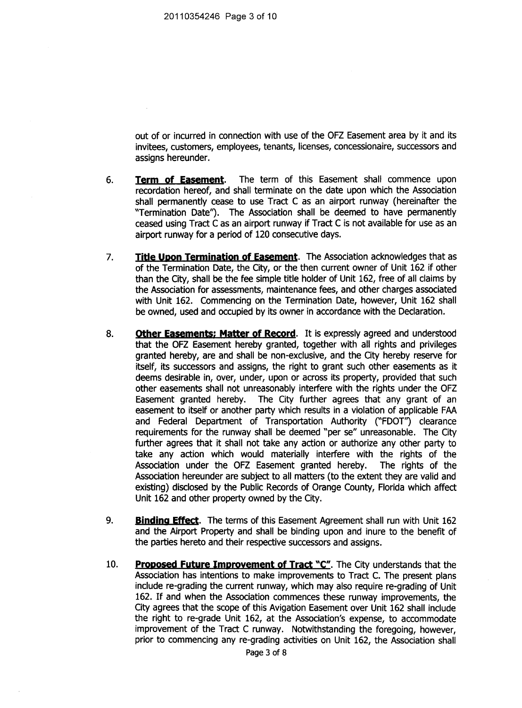**out** of or incurred in connection with use of the OFZ Easement area by it and its invitees, customers, employees, tenants, licenses, concessionaire, successors and assigns hereunder.

- **6. Term of Easement. The term of this Easement shallcommence upon recordation hereof, and shall terminate on the date upon which the Association shall permanently cease to use Tract C as an airport runway (hereinafter the "Termination Date"). The Associationshallbe deemed to have permanently ceased** using Tract C as an airport runway if Tract C is not available for use as an **airport runway for a period of 120 consecutive days.**
- **7.** Title Upon Termination of Easement. The Association acknowledges that as **of** the Termination Date, the City, or the then current owner of Unit 162 if other **than** the City, shall be the fee simple title holder of Unit 162, free of all claims by the Association for assessments, maintenance fees, and other charges associated **with** Unit 162. Commencing on the Termination Date, however, Unit 162 shall **be owned, used and occupiedby itsowner inaccordance withthe Declaration.**
- **8. Other Easements: Matter of Record. Itisexpresslyagreed and understood that the OFZ Easement hereby granted, together with all rights and privileges granted hereby,are and shallbe non-exclusive,and the Cityhereby reservefor itself,itssuccessorsand assigns,the rightto grant such other easements as it deems** desirable in, over, under, upon or across its property, provided that such **e** other easements shall not unreasonably interfere with the rights under the OFZ<br> **Easement** granted hereby. The City further agrees that any grant of an **Easement granted hereby. The City furtheragrees that any grant of an easement to itselfor another partywhich resultsina violationof applicableFAA and Federal Department of Transportation Authority ("FDOT'0 clearance requirements for the runway shall be deemed "per se" unreasonable. The City** further agrees that it shall not take any action or authorize any other party to **take** any action which would materially interfere with the rights of the Association under the OFZ Easement granted hereby. The rights of the **Association under the OFZ Easement granted hereby.** Association hereunder are subject to all matters (to the extent they are valid and **existing)** disclosed by the Public Records of Orange County, Florida which affect Unit 162 and other property owned by the City.
- 9. **Binding Effect.** The terms of this Easement Agreement shall run with Unit 162 and the Airport Property and shall be binding upon and inure to the benefit of **the parties hereto and their respective successors and assigns.**
- **10. Proposed Future Improvement of Tract "C". The Cityunderstandsthatthe** Association has intentions to make improvements to Tract C. The present plans **include re-grading the current runway, which may also require re-grading of Unit 162. Ifand when the Associationcommences these runway improvements, the City agrees that the scope of this Avigation Easement over Unit 162 shall include the right** to re-grade Unit 162, at the Association's expense, to accommodate **improvement** of the Tract C runway. Notwithstanding the foregoing, however, **prior to commencing any re-grading activities on Unit 162, the Association shall**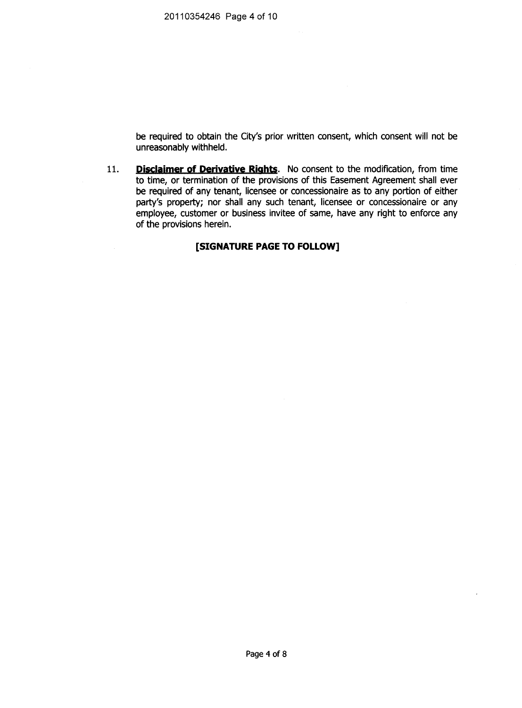be required to obtain the City's prior written consent, which consent will not be unreasonably withheld.

Disclaimer of Derivative Rights. No consent to the modification, from time 11. to time, or termination of the provisions of this Easement Agreement shall ever be required of any tenant, licensee or concessionaire as to any portion of either party's property; nor shall any such tenant, licensee or concessionaire or any employee, customer or business invitee of same, have any right to enforce any of the provisions herein.

## [SIGNATURE PAGE TO FOLLOW]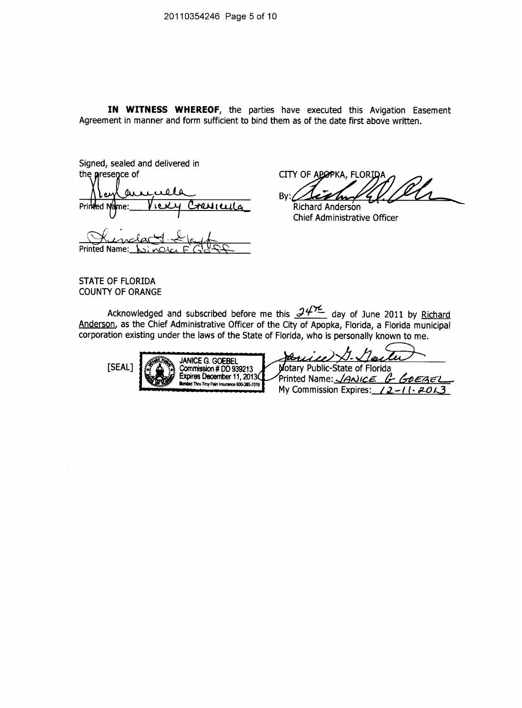IN WITNESS WHEREOF, the parties have executed this Avigation Easement Agreement in manner and form sufficient to bind them as of the date first above written.

Signed, sealed and delivered in the presence of Printed muru me: **Printed Name:** 

CITY OF APOPKA, FLORIDA Bv:

Richard Anderson Chief Administrative Officer

**STATE OF FLORIDA COUNTY OF ORANGE** 

Acknowledged and subscribed before me this  $24\frac{1}{2}$  day of June 2011 by Richard Anderson, as the Chief Administrative Officer of the City of Apopka, Florida, a Florida municipal corporation existing under the laws of the State of Florida, who is personally known to me.



|  | <b>JANICE G. GOEBEL</b><br>Commission # DD 939213<br>Expires December 11, 2013<br>Bonded Thru Troy Fain Insurance 800-385-7019 |  |
|--|--------------------------------------------------------------------------------------------------------------------------------|--|
|--|--------------------------------------------------------------------------------------------------------------------------------|--|

otary Public-State of Florida Printed Name: JANICE G GOEBEL

My Commission Expires:  $12-11-2013$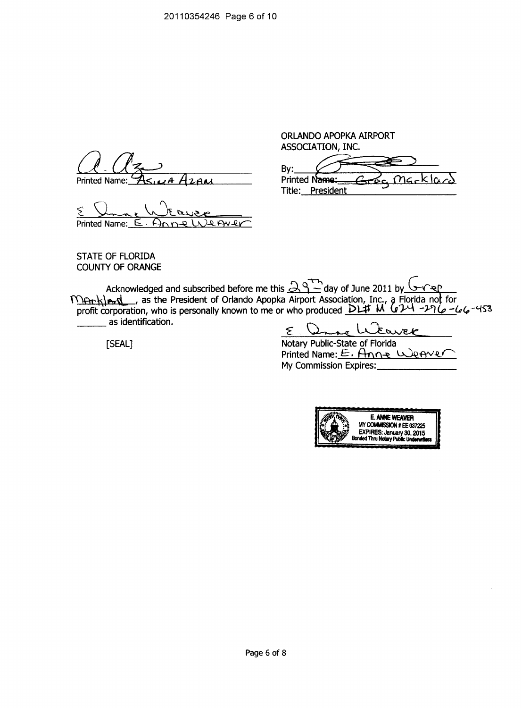$\mathsf{Printed Name: } \mathcal{A}_{\leq \mu} \land \mathcal{A}_{\mathcal{A}} \land \mathcal{A}_{\mathcal{A}} \land \mathcal{A}_{\mathcal{A}} \quad \mathsf{Printed Name: }$ 

**PrintedName: E - OR L1)A Av-RC**

**ORLANDO APOPKA AIRPORT ASSOCIATION, INC.**

By:  $<sup>n</sup>$ *G*  $\sim$   $k\alpha$ .</sup> **Title: President**

**STATE OF FLORIDA COUNTY OF ORANGE**

**Acknowledged and subscribedbeforeme this 3 - day of June 2011 by TTRrkleas** as the President of Orlando Apopka Airport Association, Inc., a Florida not for **profit corporation, who is personally known to me or who produced <b>DLA M U A -A C -L** C **as identification.**

E. Dans Weaver

**[SEAL] Notary Public-Stateof Florida PrintedName: E. A\*ryt1-4 4 40 My Commission Expires:**

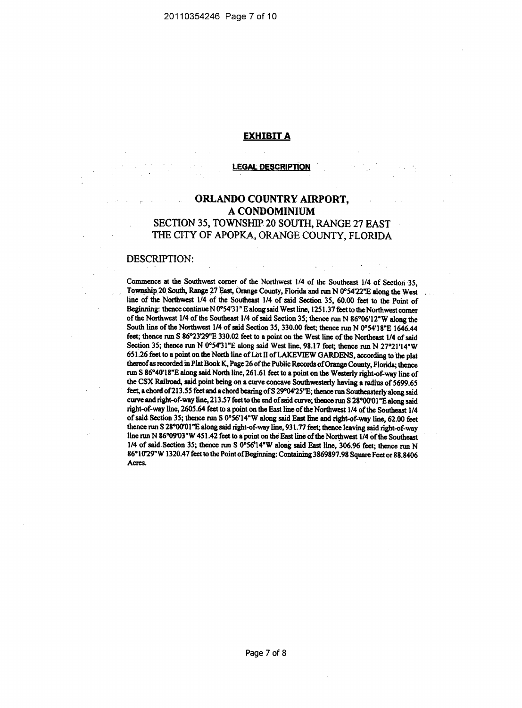## **EXHIBIT A**

#### **LEGAL DESCRIPTION**

# ORLANDO COUNTRY AIRPORT, A CONDOMINIUM SECTION 35, TOWNSHIP 20 SOUTH, RANGE 27 EAST THE CITY OF APOPKA, ORANGE COUNTY, FLORIDA

#### DESCRIPTION:

Commence at the Southwest corner of the Northwest 1/4 of the Southeast 1/4 of Section 35, Township 20 South, Range 27 East, Orange County, Florida and run N 0°54'22"E along the West line of the Northwest 1/4 of the Southeast 1/4 of said Section 35, 60.00 feet to the Point of Beginning: thence continue N 0°54'31" E along said West line, 1251.37 feet to the Northwest corner of the Northwest 1/4 of the Southeast 1/4 of said Section 35; thence run N 86°06'12"W along the South line of the Northwest 1/4 of said Section 35, 330.00 feet; thence run N 0°54'18"E 1646.44 feet; thence run S 86°23'29"E 330.02 feet to a point on the West line of the Northeast 1/4 of said Section 35; thence run N 0°54'31"E along said West line, 98.17 feet; thence run N 27°21'14"W 651.26 feet to a point on the North line of Lot II of LAKEVIEW GARDENS, according to the plat thereof as recorded in Plat Book K, Page 26 of the Public Records of Orange County, Florida; thence run S 86°40'18"E along said North line, 261.61 feet to a point on the Westerly right-of-way line of the CSX Railroad, said point being on a curve concave Southwesterly having a radius of 5699.65 feet, a chord of 213.55 feet and a chord bearing of S 29°04'25"E; thence run Southeasterly along said curve and right-of-way line, 213.57 feet to the end of said curve; thence run S 28°00'01"E along said right-of-way line, 2605.64 feet to a point on the East line of the Northwest 1/4 of the Southeast 1/4 of said Section 35; thence run S 0°56'14"W along said East line and right-of-way line, 62.00 feet thence run S 28°00'01"E along said right-of-way line, 931.77 feet; thence leaving said right-of-way line run N 86°09'03"W 451.42 feet to a point on the East line of the Northwest 1/4 of the Southeast 1/4 of said Section 35; thence run S 0°56'14"W along said East line, 306.96 feet; thence run N 86°10'29"W 1320.47 feet to the Point of Beginning: Containing 3869897.98 Square Feet or 88.8406 Acres.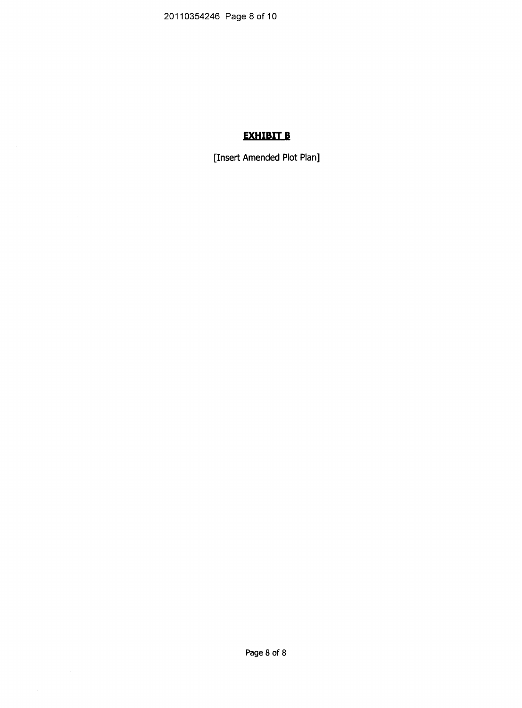20110354246 Page 8 of 10

# **EXHIBIT B**

[Insert Amended Plot Plan]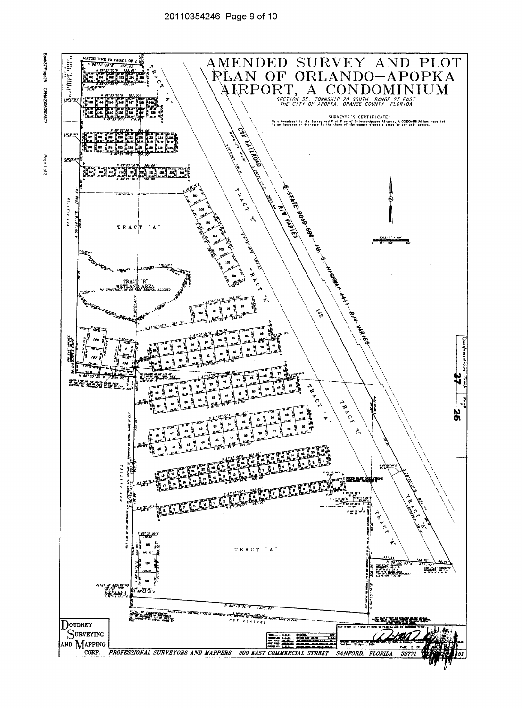



Page 1 of 2